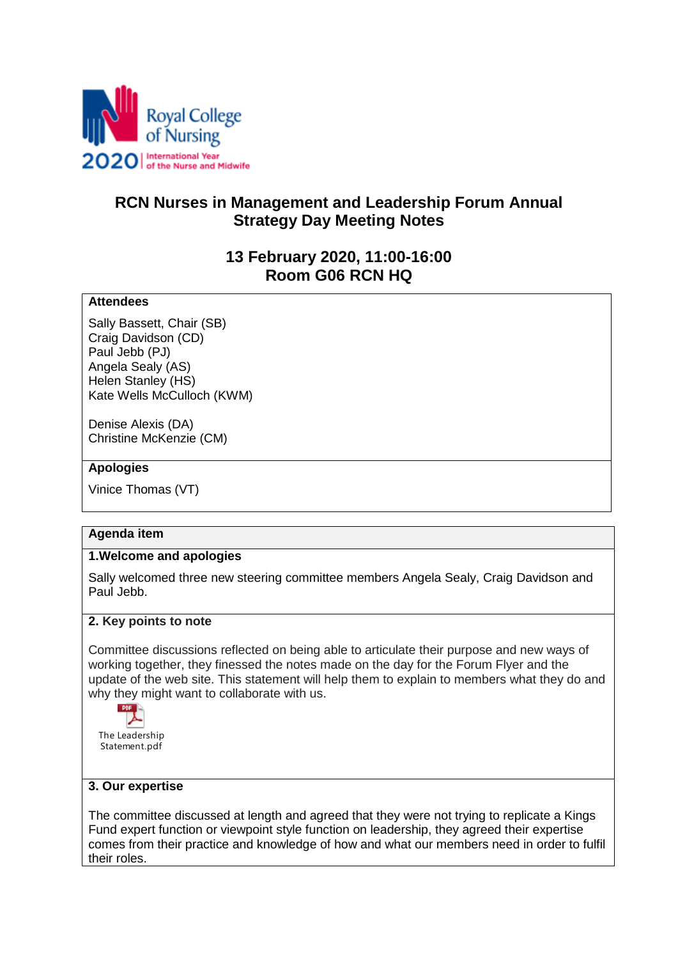

# **RCN Nurses in Management and Leadership Forum Annual Strategy Day Meeting Notes**

## **13 February 2020, 11:00-16:00 Room G06 RCN HQ**

### **Attendees**

Sally Bassett, Chair (SB) Craig Davidson (CD) Paul Jebb (PJ) Angela Sealy (AS) Helen Stanley (HS) Kate Wells McCulloch (KWM)

Denise Alexis (DA) Christine McKenzie (CM)

#### **Apologies**

Vinice Thomas (VT)

#### **Agenda item**

#### **1.Welcome and apologies**

Sally welcomed three new steering committee members Angela Sealy, Craig Davidson and Paul Jebb.

#### **2. Key points to note**

Committee discussions reflected on being able to articulate their purpose and new ways of working together, they finessed the notes made on the day for the Forum Flyer and the update of the web site. This statement will help them to explain to members what they do and why they might want to collaborate with us.



#### **3. Our expertise**

The committee discussed at length and agreed that they were not trying to replicate a Kings Fund expert function or viewpoint style function on leadership, they agreed their expertise comes from their practice and knowledge of how and what our members need in order to fulfil their roles.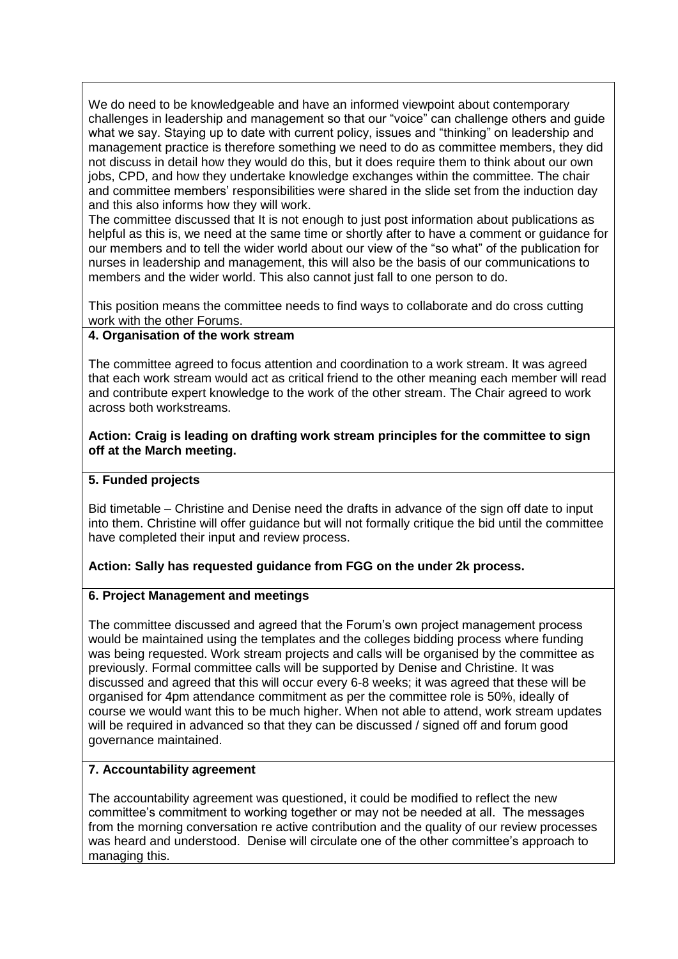We do need to be knowledgeable and have an informed viewpoint about contemporary challenges in leadership and management so that our "voice" can challenge others and guide what we say. Staying up to date with current policy, issues and "thinking" on leadership and management practice is therefore something we need to do as committee members, they did not discuss in detail how they would do this, but it does require them to think about our own jobs, CPD, and how they undertake knowledge exchanges within the committee. The chair and committee members' responsibilities were shared in the slide set from the induction day and this also informs how they will work.

The committee discussed that It is not enough to just post information about publications as helpful as this is, we need at the same time or shortly after to have a comment or guidance for our members and to tell the wider world about our view of the "so what" of the publication for nurses in leadership and management, this will also be the basis of our communications to members and the wider world. This also cannot just fall to one person to do.

This position means the committee needs to find ways to collaborate and do cross cutting work with the other Forums.

## **4. Organisation of the work stream**

The committee agreed to focus attention and coordination to a work stream. It was agreed that each work stream would act as critical friend to the other meaning each member will read and contribute expert knowledge to the work of the other stream. The Chair agreed to work across both workstreams.

### **Action: Craig is leading on drafting work stream principles for the committee to sign off at the March meeting.**

### **5. Funded projects**

Bid timetable – Christine and Denise need the drafts in advance of the sign off date to input into them. Christine will offer guidance but will not formally critique the bid until the committee have completed their input and review process.

## **Action: Sally has requested guidance from FGG on the under 2k process.**

#### **6. Project Management and meetings**

The committee discussed and agreed that the Forum's own project management process would be maintained using the templates and the colleges bidding process where funding was being requested. Work stream projects and calls will be organised by the committee as previously. Formal committee calls will be supported by Denise and Christine. It was discussed and agreed that this will occur every 6-8 weeks; it was agreed that these will be organised for 4pm attendance commitment as per the committee role is 50%, ideally of course we would want this to be much higher. When not able to attend, work stream updates will be required in advanced so that they can be discussed / signed off and forum good governance maintained.

## **7. Accountability agreement**

The accountability agreement was questioned, it could be modified to reflect the new committee's commitment to working together or may not be needed at all. The messages from the morning conversation re active contribution and the quality of our review processes was heard and understood. Denise will circulate one of the other committee's approach to managing this.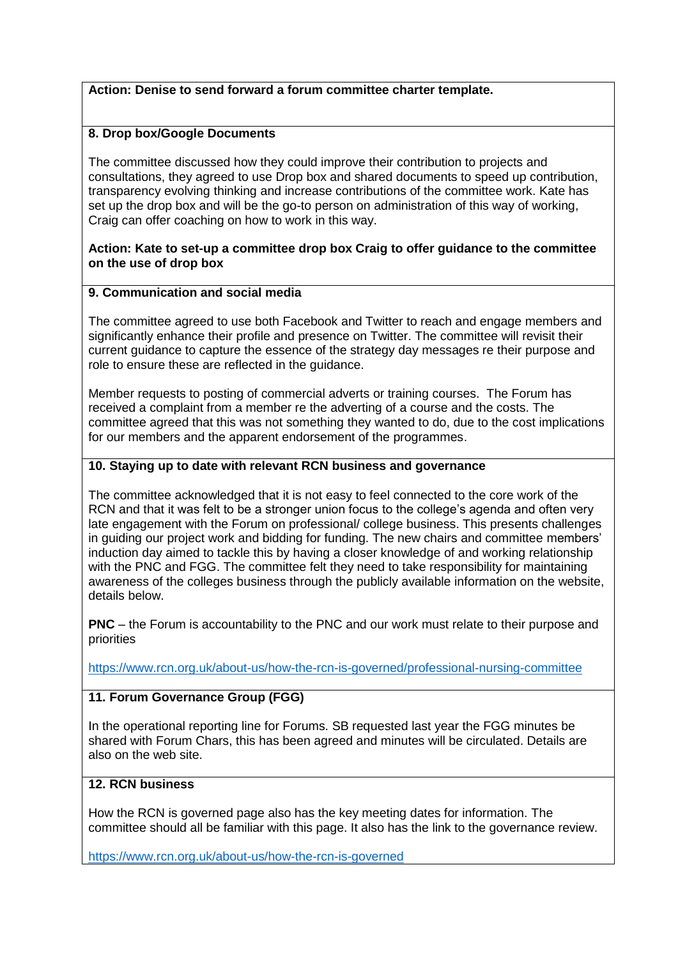#### **Action: Denise to send forward a forum committee charter template.**

### **8. Drop box/Google Documents**

The committee discussed how they could improve their contribution to projects and consultations, they agreed to use Drop box and shared documents to speed up contribution, transparency evolving thinking and increase contributions of the committee work. Kate has set up the drop box and will be the go-to person on administration of this way of working, Craig can offer coaching on how to work in this way.

#### **Action: Kate to set-up a committee drop box Craig to offer guidance to the committee on the use of drop box**

#### **9. Communication and social media**

The committee agreed to use both Facebook and Twitter to reach and engage members and significantly enhance their profile and presence on Twitter. The committee will revisit their current guidance to capture the essence of the strategy day messages re their purpose and role to ensure these are reflected in the guidance.

Member requests to posting of commercial adverts or training courses. The Forum has received a complaint from a member re the adverting of a course and the costs. The committee agreed that this was not something they wanted to do, due to the cost implications for our members and the apparent endorsement of the programmes.

#### **10. Staying up to date with relevant RCN business and governance**

The committee acknowledged that it is not easy to feel connected to the core work of the RCN and that it was felt to be a stronger union focus to the college's agenda and often very late engagement with the Forum on professional/ college business. This presents challenges in guiding our project work and bidding for funding. The new chairs and committee members' induction day aimed to tackle this by having a closer knowledge of and working relationship with the PNC and FGG. The committee felt they need to take responsibility for maintaining awareness of the colleges business through the publicly available information on the website. details below.

**PNC** – the Forum is accountability to the PNC and our work must relate to their purpose and priorities

<https://www.rcn.org.uk/about-us/how-the-rcn-is-governed/professional-nursing-committee>

#### **11. Forum Governance Group (FGG)**

In the operational reporting line for Forums. SB requested last year the FGG minutes be shared with Forum Chars, this has been agreed and minutes will be circulated. Details are also on the web site.

## **12. RCN business**

How the RCN is governed page also has the key meeting dates for information. The committee should all be familiar with this page. It also has the link to the governance review.

<https://www.rcn.org.uk/about-us/how-the-rcn-is-governed>